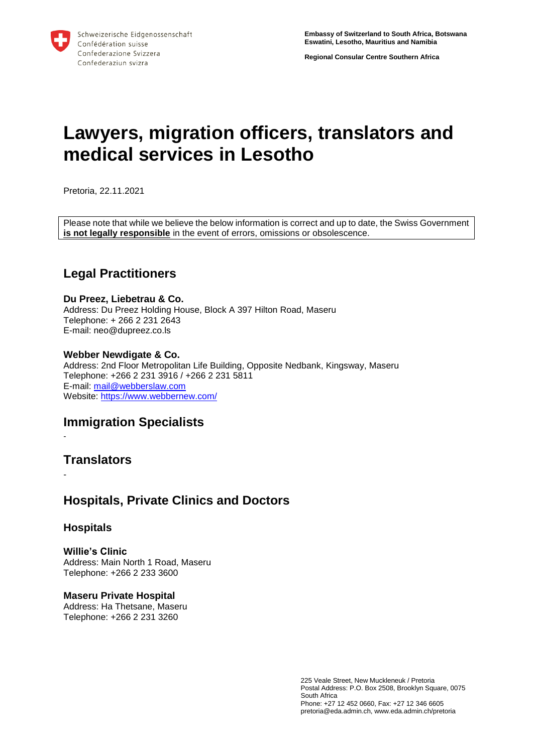**Regional Consular Centre Southern Africa**

# **Lawyers, migration officers, translators and medical services in Lesotho**

Pretoria, 22.11.2021

Please note that while we believe the below information is correct and up to date, the Swiss Government **is not legally responsible** in the event of errors, omissions or obsolescence.

# **Legal Practitioners**

#### **Du Preez, Liebetrau & Co.**

Address: Du Preez Holding House, Block A 397 Hilton Road, Maseru Telephone: + 266 2 231 2643 E-mail: neo@dupreez.co.ls

### **Webber Newdigate & Co.**

Address: 2nd Floor Metropolitan Life Building, Opposite Nedbank, Kingsway, Maseru Telephone: +266 2 231 3916 / +266 2 231 5811 E-mail: [mail@webberslaw.com](mailto:mail@webberslaw.com) Website:<https://www.webbernew.com/>

# **Immigration Specialists**

-

-

# **Translators**

# **Hospitals, Private Clinics and Doctors**

## **Hospitals**

**Willie's Clinic**  Address: Main North 1 Road, Maseru Telephone: +266 2 233 3600

**Maseru Private Hospital** Address: Ha Thetsane, Maseru Telephone: +266 2 231 3260